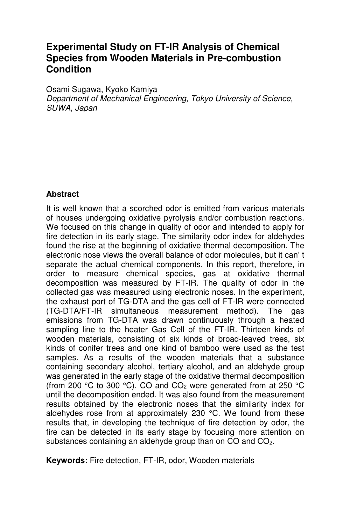# **Experimental Study on FT-IR Analysis of Chemical Species from Wooden Materials in Pre-combustion Condition**

Osami Sugawa, Kyoko Kamiya Department of Mechanical Engineering, Tokyo University of Science, SUWA, Japan

#### **Abstract**

It is well known that a scorched odor is emitted from various materials of houses undergoing oxidative pyrolysis and/or combustion reactions. We focused on this change in quality of odor and intended to apply for fire detection in its early stage. The similarity odor index for aldehydes found the rise at the beginning of oxidative thermal decomposition. The electronic nose views the overall balance of odor molecules, but it can' t separate the actual chemical components. In this report, therefore, in order to measure chemical species, gas at oxidative thermal decomposition was measured by FT-IR. The quality of odor in the collected gas was measured using electronic noses. In the experiment, the exhaust port of TG-DTA and the gas cell of FT-IR were connected (TG-DTA/FT-IR simultaneous measurement method). The gas emissions from TG-DTA was drawn continuously through a heated sampling line to the heater Gas Cell of the FT-IR. Thirteen kinds of wooden materials, consisting of six kinds of broad-leaved trees, six kinds of conifer trees and one kind of bamboo were used as the test samples. As a results of the wooden materials that a substance containing secondary alcohol, tertiary alcohol, and an aldehyde group was generated in the early stage of the oxidative thermal decomposition (from 200 °C to 300 °C). CO and  $CO<sub>2</sub>$  were generated from at 250 °C until the decomposition ended. It was also found from the measurement results obtained by the electronic noses that the similarity index for aldehydes rose from at approximately 230 °C. We found from these results that, in developing the technique of fire detection by odor, the fire can be detected in its early stage by focusing more attention on substances containing an aldehyde group than on CO and CO2.

**Keywords:** Fire detection, FT-IR, odor, Wooden materials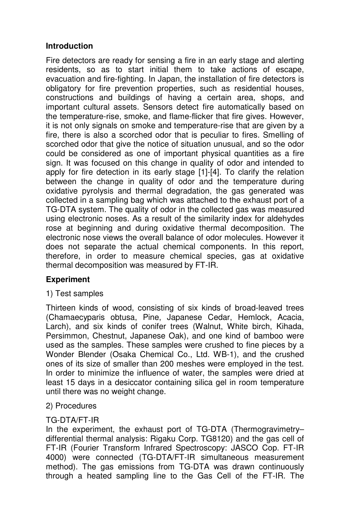### **Introduction**

Fire detectors are ready for sensing a fire in an early stage and alerting residents, so as to start initial them to take actions of escape, evacuation and fire-fighting. In Japan, the installation of fire detectors is obligatory for fire prevention properties, such as residential houses, constructions and buildings of having a certain area, shops, and important cultural assets. Sensors detect fire automatically based on the temperature-rise, smoke, and flame-flicker that fire gives. However, it is not only signals on smoke and temperature-rise that are given by a fire, there is also a scorched odor that is peculiar to fires. Smelling of scorched odor that give the notice of situation unusual, and so the odor could be considered as one of important physical quantities as a fire sign. It was focused on this change in quality of odor and intended to apply for fire detection in its early stage [1]-[4]. To clarify the relation between the change in quality of odor and the temperature during oxidative pyrolysis and thermal degradation, the gas generated was collected in a sampling bag which was attached to the exhaust port of a TG-DTA system. The quality of odor in the collected gas was measured using electronic noses. As a result of the similarity index for aldehydes rose at beginning and during oxidative thermal decomposition. The electronic nose views the overall balance of odor molecules. However it does not separate the actual chemical components. In this report, therefore, in order to measure chemical species, gas at oxidative thermal decomposition was measured by FT-IR.

#### **Experiment**

#### 1) Test samples

Thirteen kinds of wood, consisting of six kinds of broad-leaved trees (Chamaecyparis obtusa, Pine, Japanese Cedar, Hemlock, Acacia, Larch), and six kinds of conifer trees (Walnut, White birch, Kihada, Persimmon, Chestnut, Japanese Oak), and one kind of bamboo were used as the samples. These samples were crushed to fine pieces by a Wonder Blender (Osaka Chemical Co., Ltd. WB-1), and the crushed ones of its size of smaller than 200 meshes were employed in the test. In order to minimize the influence of water, the samples were dried at least 15 days in a desiccator containing silica gel in room temperature until there was no weight change.

#### 2) Procedures

#### TG-DTA/FT-IR

In the experiment, the exhaust port of TG-DTA (Thermogravimetry– differential thermal analysis: Rigaku Corp. TG8120) and the gas cell of FT-IR (Fourier Transform Infrared Spectroscopy: JASCO Cop. FT-IR 4000) were connected (TG-DTA/FT-IR simultaneous measurement method). The gas emissions from TG-DTA was drawn continuously through a heated sampling line to the Gas Cell of the FT-IR. The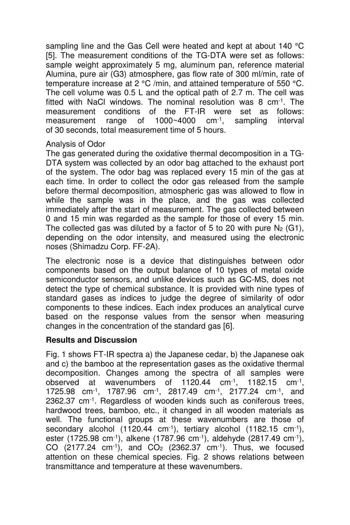sampling line and the Gas Cell were heated and kept at about 140 °C [5]. The measurement conditions of the TG-DTA were set as follows: sample weight approximately 5 mg, aluminum pan, reference material Alumina, pure air (G3) atmosphere, gas flow rate of 300 ml/min, rate of temperature increase at 2 °C /min, and attained temperature of 550 °C. The cell volume was 0.5 L and the optical path of 2.7 m. The cell was fitted with NaCl windows. The nominal resolution was  $8 \text{ cm}^{-1}$ . The measurement conditions of the FT-IR were set as follows: measurement range of 1000~4000 cm-1, sampling interval of 30 seconds, total measurement time of 5 hours.

#### Analysis of Odor

The gas generated during the oxidative thermal decomposition in a TG-DTA system was collected by an odor bag attached to the exhaust port of the system. The odor bag was replaced every 15 min of the gas at each time. In order to collect the odor gas released from the sample before thermal decomposition, atmospheric gas was allowed to flow in while the sample was in the place, and the gas was collected immediately after the start of measurement. The gas collected between 0 and 15 min was regarded as the sample for those of every 15 min. The collected gas was diluted by a factor of 5 to 20 with pure  $N_2$  (G1), depending on the odor intensity, and measured using the electronic noses (Shimadzu Corp. FF-2A).

The electronic nose is a device that distinguishes between odor components based on the output balance of 10 types of metal oxide semiconductor sensors, and unlike devices such as GC-MS, does not detect the type of chemical substance. It is provided with nine types of standard gases as indices to judge the degree of similarity of odor components to these indices. Each index produces an analytical curve based on the response values from the sensor when measuring changes in the concentration of the standard gas [6].

#### **Results and Discussion**

Fig. 1 shows FT-IR spectra a) the Japanese cedar, b) the Japanese oak and c) the bamboo at the representation gases as the oxidative thermal decomposition. Changes among the spectra of all samples were observed at wavenumbers of 1120.44 cm-1, 1182.15 cm-1 , 1725.98 cm-1, 1787.96 cm-1, 2817.49 cm-1, 2177.24 cm-1, and 2362.37 cm-1. Regardless of wooden kinds such as coniferous trees, hardwood trees, bamboo, etc., it changed in all wooden materials as well. The functional groups at these wavenumbers are those of secondary alcohol (1120.44 cm<sup>-1</sup>), tertiary alcohol (1182.15 cm<sup>-1</sup>), ester (1725.98 cm<sup>-1</sup>), alkene (1787.96 cm<sup>-1</sup>), aldehyde (2817.49 cm<sup>-1</sup>), CO  $(2177.24 \text{ cm}^{-1})$ , and  $CO<sub>2</sub>$   $(2362.37 \text{ cm}^{-1})$ . Thus, we focused attention on these chemical species. Fig. 2 shows relations between transmittance and temperature at these wavenumbers.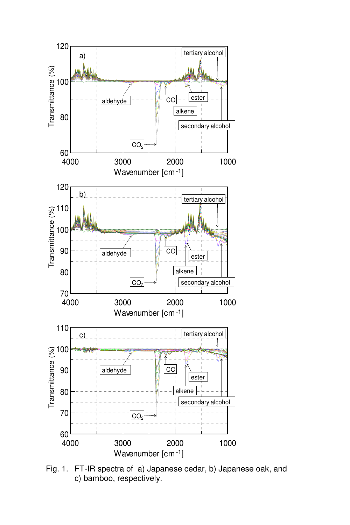

Fig. 1. FT-IR spectra of a) Japanese cedar, b) Japanese oak, and c) bamboo, respectively.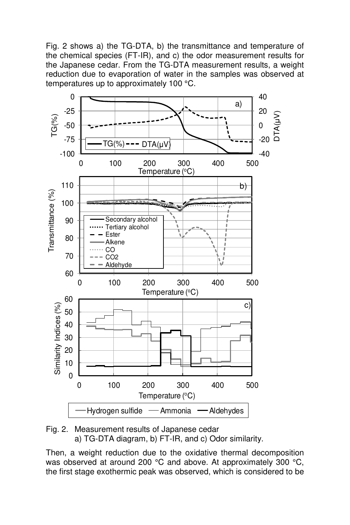Fig. 2 shows a) the TG-DTA, b) the transmittance and temperature of the chemical species (FT-IR), and c) the odor measurement results for the Japanese cedar. From the TG-DTA measurement results, a weight reduction due to evaporation of water in the samples was observed at temperatures up to approximately 100 °C.



Fig. 2. Measurement results of Japanese cedar a) TG-DTA diagram, b) FT-IR, and c) Odor similarity.

Then, a weight reduction due to the oxidative thermal decomposition was observed at around 200 °C and above. At approximately 300 °C, the first stage exothermic peak was observed, which is considered to be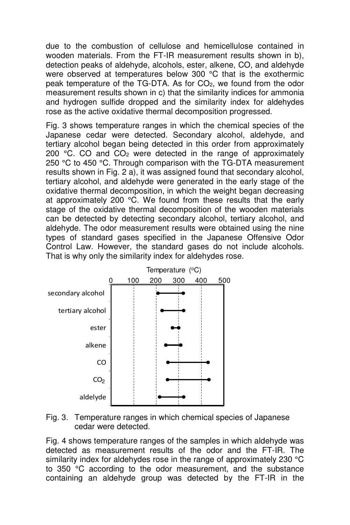due to the combustion of cellulose and hemicellulose contained in wooden materials. From the FT-IR measurement results shown in b), detection peaks of aldehyde, alcohols, ester, alkene, CO, and aldehyde were observed at temperatures below 300 °C that is the exothermic peak temperature of the TG-DTA. As for CO<sub>2</sub>, we found from the odor measurement results shown in c) that the similarity indices for ammonia and hydrogen sulfide dropped and the similarity index for aldehydes rose as the active oxidative thermal decomposition progressed.

Fig. 3 shows temperature ranges in which the chemical species of the Japanese cedar were detected. Secondary alcohol, aldehyde, and tertiary alcohol began being detected in this order from approximately 200  $\degree$ C. CO and CO<sub>2</sub> were detected in the range of approximately 250 °C to 450 °C. Through comparison with the TG-DTA measurement results shown in Fig. 2 a), it was assigned found that secondary alcohol, tertiary alcohol, and aldehyde were generated in the early stage of the oxidative thermal decomposition, in which the weight began decreasing at approximately 200 °C. We found from these results that the early stage of the oxidative thermal decomposition of the wooden materials can be detected by detecting secondary alcohol, tertiary alcohol, and aldehyde. The odor measurement results were obtained using the nine types of standard gases specified in the Japanese Offensive Odor Control Law. However, the standard gases do not include alcohols. That is why only the similarity index for aldehydes rose.





Fig. 4 shows temperature ranges of the samples in which aldehyde was detected as measurement results of the odor and the FT-IR. The similarity index for aldehydes rose in the range of approximately 230 °C to 350 °C according to the odor measurement, and the substance containing an aldehyde group was detected by the FT-IR in the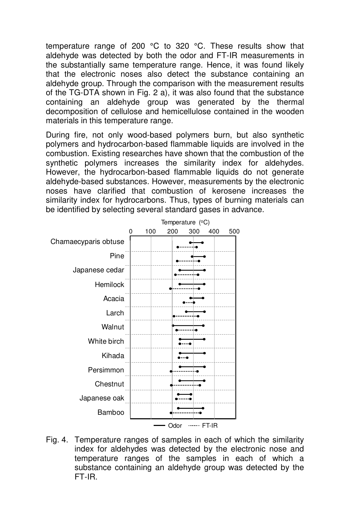temperature range of 200 °C to 320 °C. These results show that aldehyde was detected by both the odor and FT-IR measurements in the substantially same temperature range. Hence, it was found likely that the electronic noses also detect the substance containing an aldehyde group. Through the comparison with the measurement results of the TG-DTA shown in Fig. 2 a), it was also found that the substance containing an aldehyde group was generated by the thermal decomposition of cellulose and hemicellulose contained in the wooden materials in this temperature range.

During fire, not only wood-based polymers burn, but also synthetic polymers and hydrocarbon-based flammable liquids are involved in the combustion. Existing researches have shown that the combustion of the synthetic polymers increases the similarity index for aldehydes. However, the hydrocarbon-based flammable liquids do not generate aldehyde-based substances. However, measurements by the electronic noses have clarified that combustion of kerosene increases the similarity index for hydrocarbons. Thus, types of burning materials can be identified by selecting several standard gases in advance.



Fig. 4. Temperature ranges of samples in each of which the similarity index for aldehydes was detected by the electronic nose and temperature ranges of the samples in each of which a substance containing an aldehyde group was detected by the FT-IR.